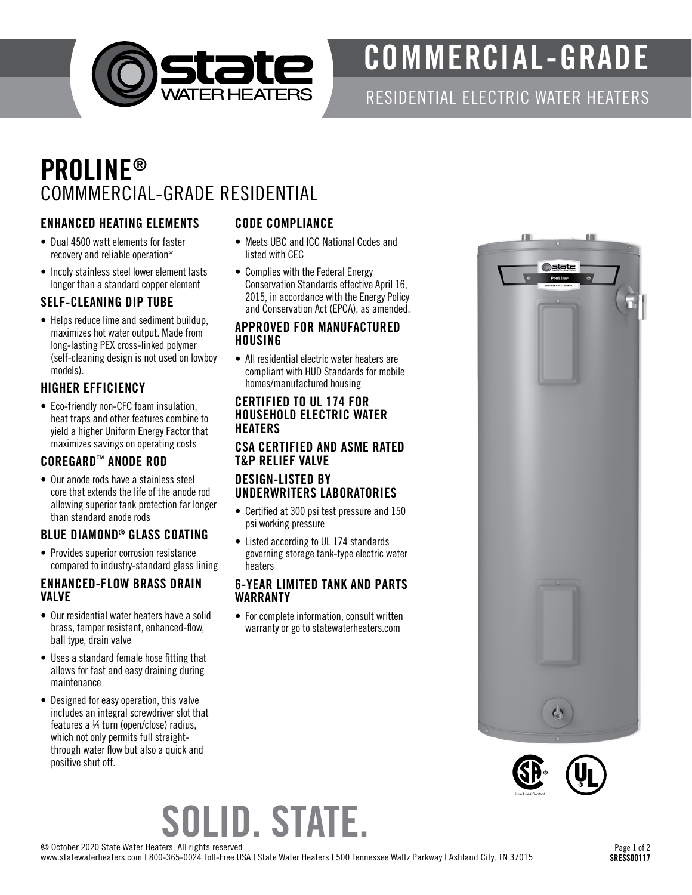

# COMMERCIAL-GRADE

### RESIDENTIAL ELECTRIC WATER HEATERS

### PROLINE® COMMMERCIAL-GRADE RESIDENTIAL

#### ENHANCED HEATING ELEMENTS

- Dual 4500 watt elements for faster recovery and reliable operation\*
- Incoly stainless steel lower element lasts longer than a standard copper element

#### SELF-CLEANING DIP TUBE

• Helps reduce lime and sediment buildup, maximizes hot water output. Made from long-lasting PEX cross-linked polymer (self-cleaning design is not used on lowboy models).

#### HIGHER EFFICIENCY

• Eco-friendly non-CFC foam insulation, heat traps and other features combine to yield a higher Uniform Energy Factor that maximizes savings on operating costs

#### COREGARD™ ANODE ROD

• Our anode rods have a stainless steel core that extends the life of the anode rod allowing superior tank protection far longer than standard anode rods

#### BLUE DIAMOND® GLASS COATING

• Provides superior corrosion resistance compared to industry-standard glass lining

#### ENHANCED-FLOW BRASS DRAIN VALVE

- Our residential water heaters have a solid brass, tamper resistant, enhanced-flow, ball type, drain valve
- Uses a standard female hose fitting that allows for fast and easy draining during maintenance
- Designed for easy operation, this valve includes an integral screwdriver slot that features a ¼ turn (open/close) radius, which not only permits full straightthrough water flow but also a quick and positive shut off.

#### CODE COMPLIANCE

- Meets UBC and ICC National Codes and listed with CEC
- Complies with the Federal Energy Conservation Standards effective April 16, 2015, in accordance with the Energy Policy and Conservation Act (EPCA), as amended.

#### APPROVED FOR MANUFACTURED HOUSING

• All residential electric water heaters are compliant with HUD Standards for mobile homes/manufactured housing

#### CERTIFIED TO UL 174 FOR HOUSEHOLD ELECTRIC WATER **HEATERS**

#### CSA CERTIFIED AND ASME RATED T&P RELIEF VALVE

#### DESIGN-LISTED BY UNDERWRITERS LABORATORIES

- Certified at 300 psi test pressure and 150 psi working pressure
- Listed according to UL 174 standards governing storage tank-type electric water heaters

#### 6-YEAR LIMITED TANK AND PARTS WARRANTY

• For complete information, consult written warranty or go to statewaterheaters.com





# SOLID. STATE.